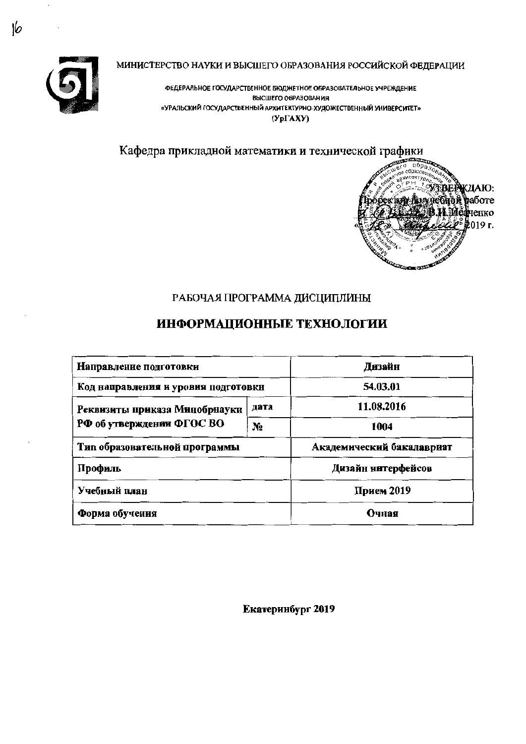

МИНИСТЕРСТВО НАУКИ И ВЫСШЕГО ОБРАЗОВАНИЯ РОССИЙСКОЙ ФЕДЕРАЦИИ

ФЕДЕРАЛЬНОЕ ГОСУДАРСТВЕННОЕ БЮДЖЕТНОЕ ОБРАЗОВАТЕЛЬНОЕ УЧРЕЖДЕНИЕ ВЫСШЕГО ОБРАЗОВАНИЯ «УРАЛЬСКИЙ ГОСУДАРСТВЕННЫЙ АРХИТЕКТУРНО-ХУДОЖЕСТВЕННЫЙ УНИВЕРСИТЕТ»  $(Yp\Gamma AXY)$ 

Кафедра прикладной математики и технической графики



## РАБОЧАЯ ПРОГРАММА ДИСЦИПЛИНЫ

# ИНФОРМАЦИОННЫЕ ТЕХНОЛОГИИ

| Направление подготовки              | Дизайн                    |                    |  |
|-------------------------------------|---------------------------|--------------------|--|
| Код направления и уровня подготовки | 54.03.01                  |                    |  |
| Реквизиты приказа Минобрнауки       | дата                      | 11.08.2016         |  |
| РФ об утверждении ФГОС ВО           | N2                        | 1004               |  |
| Тип образовательной программы       | Академический бакалавриат |                    |  |
| Профиль                             |                           | Дизайн нитерфейсов |  |
| Учебный план                        | Прием 2019                |                    |  |
| Форма обучения                      | Очная                     |                    |  |

Екатеринбург 2019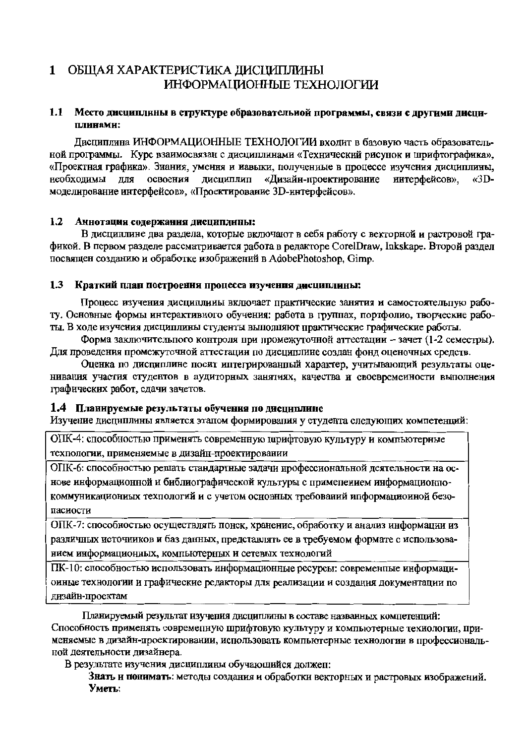#### ОБЩАЯ ХАРАКТЕРИСТИКА ДИСЦИПЛИНЫ  $\mathbf{1}$ ИНФОРМАЦИОННЫЕ ТЕХНОЛОГИИ

#### 1.1 Место дисциплины в структуре образовательной программы, связи с другими дисциплинами:

Лиспиплина ИНФОРМАЦИОННЫЕ ТЕХНОЛОГИИ вхолит в базовую часть образовательной программы. Курс взаимосвязан с дисциплинами «Технический рисунок и шрифтографика», «Проектная графика». Знания, умення и иавыки, полученные в процессе изучения дисциплины, освоения лисциплип «Лизайн-проектироваиие необхолимы лля интерфейсов».  $\kappa$ 3Dмоделирование интерфейсов», «Проектирование 3D-интерфейсов».

#### $1.2$ Аннотация содержания дисциплины:

В дисциплине два раздела, которые включают в себя работу с векторной и растровой графикой. В первом разделе рассматривается работа в редакторе CorelDraw, Inkskape. Второй раздел посвящен созданию и обработке изображений в AdobePhotoshop. Gimp.

#### $1.3$ Краткий план построения процесса изучения дисциплины:

Процесс изучения диспиплины включает практические занятия и самостоятельпую работу. Основные формы интерактивного обучения: работа в группах, портфолио, творческие работы. В ходе изучения дисциплины студенты выполняют практические графические работы.

Форма заключительного контроля при промежуточной аттестации - зачет (1-2 семестры). Для проведения промежуточной аттестации по дисциплине создан фонд оценочных средств.

Оценка по дисциплине посит иптегрированный характер, учитывающий результаты оценивания участия студентов в аудиторных занятиях, качества и своевременности выполнения графических работ, слачи зачетов.

### 1.4 Планируемые результаты обучения по дисциплине

Изучение дисциплины является этапом формировалия у студента следующих компетенций:

ОПК-4: способностью применять современную шрифтовую культуру и компьютерные техпологии, применяемые в дизайн-проектировании

ОПК-6: способностью решать стандартные задачи профессиональной деятельности на основе информационной и библиографической культуры с применением информационнокоммуникациониых техпологий и с учетом основных требований ипформациоиной безопасиости

ОПК-7: способностью осуществлять понск, хранение, обработку и анализ информации из различных источников и баз данных, представлять ее в требуемом формате с использованием информационных, компьютерных и сетевых технологий

ПК-10: способностью использовать информационные ресурсы: современные информационные технологии и графические редакторы для реализации и создания документации по дизайн-проектам

Планируемый результат изучения дисциплины в составе названных компетенций: Способность применять современную шрифтовую культуру и компьютерные технологии, применяемые в дизайн-проектировании, использовать компьютерные технологии в профессиональной деятельности дизайнера.

В результате изучения дисциплины обучающийся должеп:

Знать и понимать: методы создания и обработки векторных и растровых изображений. Уметь: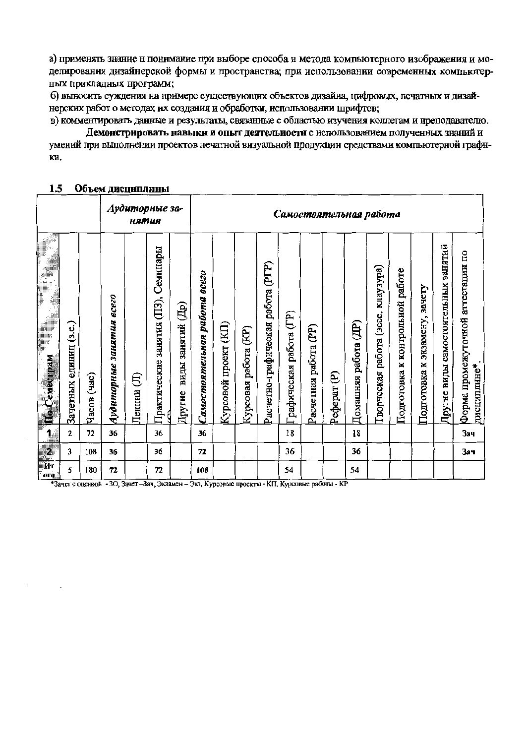а) применять знание н понимание при выборе способа и метода компьютерного изображения и моделирования дизайнерской формы и пространства; при использовании современных компьютерных прикладных нрограмм;

б) выносить суждения на примере существующих объектов дизайна, цифровых, печатных и дизайнерских работ о методах их создания и обработки, использовании шрифтов;

в) комментировать данные и результаты, связанные с областью изучения коллегам и преподавателю. Демонстрировать навыки и опыт деятельности с использованием полученных знаний и умений при выполнении проектов нечатной визуальной продукции средствами компьютерной графн-KИ.

#### Аудиторные за-Самостоятельная работа нятия Пругие виды самостоятельных занятий Практические занятия (ПЗ), Семинары Форма промежуточной агтестации по 'асчетно-графическая работа (PГP) ворческая работа (эссе, клаузура) Подготовка к контрольной работе Самостоятельная работа всего Подготовка к экзамену, зачету Аудиторные занятия всего <sup>П</sup>ругие виды занятий (Др) рафическая работа (ГР) Домашняя работа (ДР) Курсовой проект (KII) Зачетных единиц (з.е.) Расчетная работа (PP) Курсовая работа (KP) о Семестрам тисциплине\* Pedepar<sub>(P)</sub> **Лекции** (Л) Часов (час) 1  $\mathbf 2$  $72$ 36 36 18 18 36 **Зач**  $\overline{\mathbf{z}}$  $\overline{\mathbf{3}}$ 108 36 36 72 36 36 Зач  $\overline{\mathbf{M}}$ т 54 54 5 180  $72$  $72$ 108 oro

#### $1.5$ Объем дисциплины

\*Зачет с оценкой - 30, Зачет-Зач, Экзамен - Экз, Курсовые проекты - КП, Курсовые работы - КР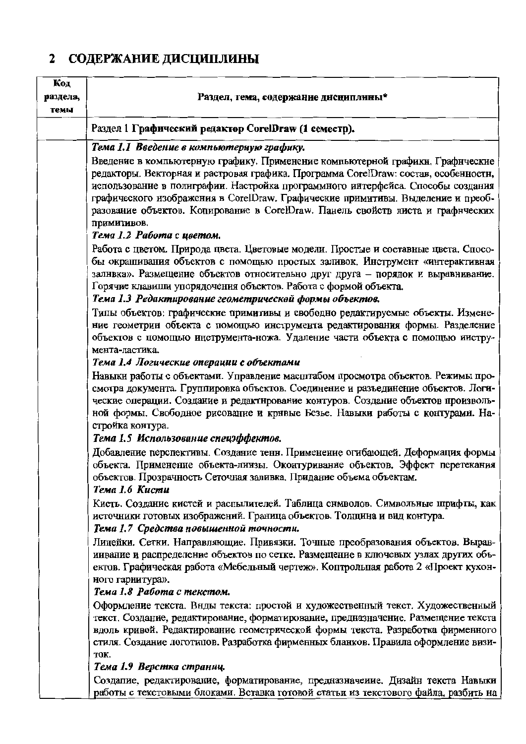# 2 СОДЕРЖАНИЕ ДИСЦИПЛИНЫ

| Код<br>раздела,<br>темы | Раздел, тема, содержание дисциплины*                                                                                                                                                                                                                                                                                                                                                                                                                                                      |
|-------------------------|-------------------------------------------------------------------------------------------------------------------------------------------------------------------------------------------------------------------------------------------------------------------------------------------------------------------------------------------------------------------------------------------------------------------------------------------------------------------------------------------|
|                         | Раздел 1 Графический редактор CorelDraw (1 семестр).                                                                                                                                                                                                                                                                                                                                                                                                                                      |
|                         | Тема 1.1 Введение в компьютерную графику.<br>Введение в компьютерную графику. Применение компьютерной графики. Графнческие<br>редакторы. Векторная и растровая графика. Программа CorelDraw: состав, особенностн,<br>использование в полиграфии. Настройка программного интерфейса. Способы создания<br>графического изображения в CorelDraw. Графические примитивы. Выделение и преоб-<br>разование объектов. Копирование в CorelDraw. Панель свойств листа и графических<br>примитивов. |
|                         | Тема 1.2 Работа с цветом.<br>Работа с цветом. Природа цвета. Цветовые модели. Простые и составные цвета. Спосо-<br>бы окрашивания объектов с помощью простых заливок. Инструмент «интерактивная<br>залнвка». Размещение объектов относительно друг друга - порядок и выравнивание.<br>Горячие клавиши упорядочения объектов. Работа с формой объекта.<br>Тема 1.3 Редактирование геометрической формы объектов.                                                                           |
|                         | Типы объектов: графические примитивы и свободно редактируемые объекты. Измене-<br>ние геометрии объекта с помощью инструмента редактирования формы. Разделение<br>объектов с помощью инструмента-ножа. Удаление части объекта с помощью инстру-<br>мента-ластика.                                                                                                                                                                                                                         |
|                         | Тема 1.4 Логические операции с объектами<br>Навыки работы с объектами. Управление масштабом просмотра объектов. Режимы про-<br>смотра документа. Группировка объектов. Соединение и разъединение объектов. Логи-<br>ческие операции. Создание и редактнрование контуров. Создание объектов произволь-<br>ной формы. Свободное рисование и крнвые Безье. Навыки работы с контурами. На-<br>стройка контура.                                                                                |
|                         | Тема 1.5 Использование спецэффектов.<br>Добавление перспективы. Создание тенн. Применение огибающей. Деформация формы<br>объекта. Примененне объекта-линзы. Оконтуриванне объектов. Эффект перетекания<br>объектов. Прозрачность Сеточная заливка. Придание объема объектам.<br>Тема 1.6 Кисти                                                                                                                                                                                            |
|                         | Кисть. Создание кистей и распылителей. Таблица снмволов. Символьные шрифты, как<br>источники готовых изображений. Граница объектов. Толщина и вид контура.<br>Тема 1.7 Средства повышенной точности.                                                                                                                                                                                                                                                                                      |
|                         | Линейки. Сетки. Направляющие. Привязки. Точные преобразования объектов. Вырав-<br>иивание и распределение объектов по сетке. Размещение в ключевых узлах других объ-<br>ектов. Графическая работа «Мебельный чертеж». Коптрольпая работа 2 «Проект кухон-<br>ного гарнитура».                                                                                                                                                                                                             |
|                         | Тема 1.8 Работа с текстом.<br>Оформление текста. Внды текста: простой и художественный текст. Художественный<br>текст. Создание, редактирование, форматирование, предназначение. Размещение текста<br>вдоль кривой. Редактирование геометрической формы текста. Разработка фирменного<br>стиля. Создание логотипов. Разработка фирменных бланков. Правила оформление визи-<br>TOK.                                                                                                        |
|                         | Тема 1.9 Верстка страниц.<br>Создапие, редактирование, форматирование, предназначеиие. Дизайн текста Навыки<br>работы с текстовыми блоками. Вставка готовой статьи из текстового файла, разбить на                                                                                                                                                                                                                                                                                        |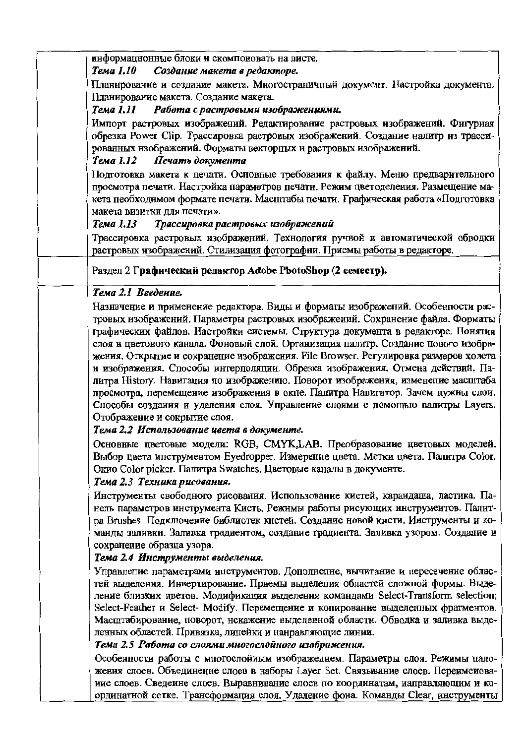| информационные блоки и скомпоновать на листе.<br>Создание макета в редакторе.<br>Тема 1.10                                                                                                                                                                                                                                                                               |
|--------------------------------------------------------------------------------------------------------------------------------------------------------------------------------------------------------------------------------------------------------------------------------------------------------------------------------------------------------------------------|
| Планирование и создание макета. Многостраничный документ. Настройка документа.                                                                                                                                                                                                                                                                                           |
| Планирование макета. Создание макета.                                                                                                                                                                                                                                                                                                                                    |
| Тема 1.11 Работа с растровыми изображениями.                                                                                                                                                                                                                                                                                                                             |
| Импорт растровых изображений. Редактирование растровых изображений. Фигурная<br>обрезка Power Clip. Трассировка растровых изображений. Создание налитр из трасси-<br>рованных изображений. Форматы векторных и растровых изображений.<br>Тема 1.12 Печать документа                                                                                                      |
| Подготовка макета к печати. Основные требования к файлу. Меню предварительного                                                                                                                                                                                                                                                                                           |
| просмотра печати. Настройка параметров печати. Режим цветоделения. Размещение ма-<br>кета пеобходимом формате печати. Масштабы печати. Графическая работа «Подготовка                                                                                                                                                                                                    |
| макета визитки для печати».                                                                                                                                                                                                                                                                                                                                              |
| Тема 1.13<br>Трассировка растровых изображений                                                                                                                                                                                                                                                                                                                           |
| Трассировка растровых изображений. Технология ручной и автоматической обводки<br>растровых изображений. Стилизация фотографии. Приемы работы в редакторе.                                                                                                                                                                                                                |
| Раздел 2 Графический редактор Adobe PbotoShop (2 семестр).                                                                                                                                                                                                                                                                                                               |
| Тема 2.1 Введение.                                                                                                                                                                                                                                                                                                                                                       |
| Назначение и применение редактора. Виды и форматы изображений. Особенности рас-                                                                                                                                                                                                                                                                                          |
| тровых изображений. Параметры растровых изображений. Сохранение файла. Форматы                                                                                                                                                                                                                                                                                           |
| графических файлов. Настройки системы. Структура документа в редакторе. Понятия                                                                                                                                                                                                                                                                                          |
| слоя и цветового канала. Фоновый слой. Организация палитр. Создание нового изобра-                                                                                                                                                                                                                                                                                       |
| жения. Открытие и сохранение изображения. File Browser. Регулировка размеров холета                                                                                                                                                                                                                                                                                      |
| и изображения. Способы интерполяции. Обрезка изображения. Отмена действий. Па-<br>литра History. Навигация по изображению. Поворот изображения, изменение масштаба                                                                                                                                                                                                       |
| просмотра, перемещение изображения в окпе. Палитра Навигатор. Зачем нужны слои.                                                                                                                                                                                                                                                                                          |
| Способы создания и удаления слоя. Управление слоями с помощью палитры Layers.                                                                                                                                                                                                                                                                                            |
| Отображение и сокрытие слоя.                                                                                                                                                                                                                                                                                                                                             |
| Тема 2.2 Использование цвета в документе.                                                                                                                                                                                                                                                                                                                                |
| Основные цветовые модели: RGB, CMYK,LAB. Преобразование цветовых моделей.                                                                                                                                                                                                                                                                                                |
| Выбор цвета ипструментом Eyedropper. Измерение цвета. Метки цвета. Палитра Color.                                                                                                                                                                                                                                                                                        |
| Окио Color picker. Палитра Swatches. Цветовые каналы в документе.                                                                                                                                                                                                                                                                                                        |
| Тема 2.3 Техника рисования.                                                                                                                                                                                                                                                                                                                                              |
| Инструменты свободного рисования. Использование кистей, карандаша, ластика. Па-<br>нель параметров инструмента Кисть. Режимы работы рисующих инструментов. Палит-<br>ра Brushes. Подключеине библиотек кистей. Создание новой кисти. Инструменты и ко-<br>манды заливки. Заливка градиентом, создание градиента. Заливка узором. Создание и<br>сохранение образца узора. |
| Тема 2.4 Инструменты выделения.                                                                                                                                                                                                                                                                                                                                          |
| Управление параметрами инструментов. Дополнение, вычитание и пересечение облас-                                                                                                                                                                                                                                                                                          |
| тей выделения. Инвертирование. Приемы выделения областей сложной формы. Выде-                                                                                                                                                                                                                                                                                            |
| ление близких цветов. Модификация выделения командами Select-Transform selection;                                                                                                                                                                                                                                                                                        |
| Select-Feather и Select- Modify. Перемещение и копирование выделенных фрагментов.                                                                                                                                                                                                                                                                                        |
| Масштабирование, поворот, нскажение выделенной области. Обводка и заливка выде-                                                                                                                                                                                                                                                                                          |
| ленных областей. Привязка, линейки и нанравляющие линии.                                                                                                                                                                                                                                                                                                                 |
| Тема 2.5 Работа со слоями многослойного изображения.                                                                                                                                                                                                                                                                                                                     |
| Особенности работы с многослойиым изображением. Параметры слоя. Режимы нало-                                                                                                                                                                                                                                                                                             |
| жения слоев. Объединеиие слоев в наборы Layer Set. Связывание слоев. Переимеиова-                                                                                                                                                                                                                                                                                        |
| иие слоев. Сведеине слоев. Выравнивание слоев по координатам, направляющим и ко-                                                                                                                                                                                                                                                                                         |
| ординатной сетке. Трансформация слоя. Удаление фона. Команды Clear, инструменты                                                                                                                                                                                                                                                                                          |
|                                                                                                                                                                                                                                                                                                                                                                          |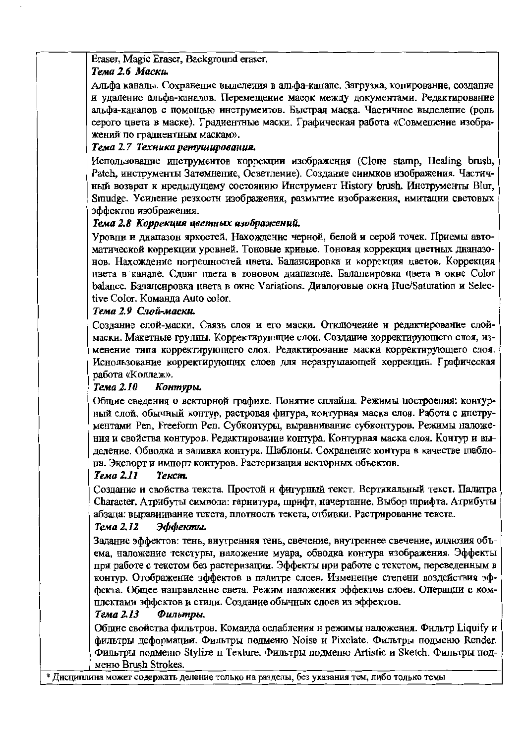#### Eraser, Magic Eraser, Background eraser.

### Тема 2.6 Маски.

Альфа каналы. Сохранение выделения в альфа-канале. Загрузка, копирование, создание и удаление альфа-каналов. Перемещение масок между документами. Редактирование альфа-каналов с помощью инструментов. Быстрая маска. Частичное выделение (роль серого цвета в маске). Градиентные маски. Графическая работа «Совмещение изображений по градиентным маскам».

#### Тема 2.7 Техника ретуширования.

Использование инструмеитов коррекции изображения (Clone stamp, Healing brush, Patch, инструменты Затемнение, Осветление). Создание сиимков изображения. Частичный возврат к нредыдущему состоянию Инструмент History brush. Инструменты Blur, Smudge. Усиление резкостн изображения, размытие изображения, имитации световых эффектов изображения.

#### Тема 2.8 Коррекция цветных изображений.

Уровни и диапазон яркостей. Нахождение черной, белой и серой точек. Приемы автоматической коррекции уровней. Тоновые кривые. Тоновая коррекция цветных дианазонов. Нахождение погрешностей цвета. Балансировка и коррекция цветов. Коррекция ивета в канале. Слвиг ивета в тоновом диапазоне. Балансировка цвета в окне Color balance. Балансировка цвета в окне Variations. Диалоговые окна Hue/Saturation и Selective Color. Команла Auto color.

### Тема 2.9 Слой-маски.

Создание слой-маски. Связь слоя и его маски. Отключение и редактирование слоймаски. Макетные группы. Корректирующие слои. Создание корректирующего слоя, изменение тнпа корректирующего слоя. Редактирование маски корректирующего слоя. Иснользование корректирующих слоев для неразрушающей коррекции. Графическая работа «Коллаж».

#### Тема 2.10 Контуры.

Общие сведения о векторной графике. Понятие сплайна. Режимы построения: контурный слой, обычный контур, растровая фигура, контурная маска слоя. Работа с инструментами Реп, Freeform Pen. Субконтуры, выравнивание субконтуров. Режимы наложения и свойства контуров. Редактирование контура. Контурная маска слоя. Контур и выделение. Обводка и заливка контура. Шаблоны. Сохранение контура в качестве шаблона. Экспорт и импорт контуров. Растеризация векторных объектов.

#### Тема 2.11 **Текст.**

Создание и свойства текста. Простой и фигурный текст. Вертикальный текст. Палитра Character. Атрибуты символа: гарнитура, шрифт, начертание. Выбор шрифта. Атрибуты абзаца: выравиивание текста, плотность текста, отбивки. Растрирование текста.

#### Тема 2.12 Эффекты.

Залание эффектов: тень, внутренняя тень, свечение, внутреннее свечение, иллюзия объема, наложение текстуры, наложение муара, обводка контура изображения. Эффекты при работе с текстом без растеризации. Эффекты нри работе с текстом, переведенным в контур. Отображение эффектов в палитре слоев. Изменение степени воздействия эффекта. Общее направление света. Режим наложения эффектов слоев. Операцни с комплектами эффектов и стили. Создание обычных слоев из эффектов.

#### Тема 2.13 Фильтры.

Общие свойства фильтров. Команда ослабления н режимы наложения. Фильтр Liquify и фильтры деформации. Фильтры подменю Noise и Pixelate. Фильтры подменю Render. Фильтры подменю Stylize н Texture. Фильтры подменю Artistic и Sketch. Фильтры подменю Brush Strokes.

# Дисциплина может содержать деление только на разделы, без указания тем, либо только темы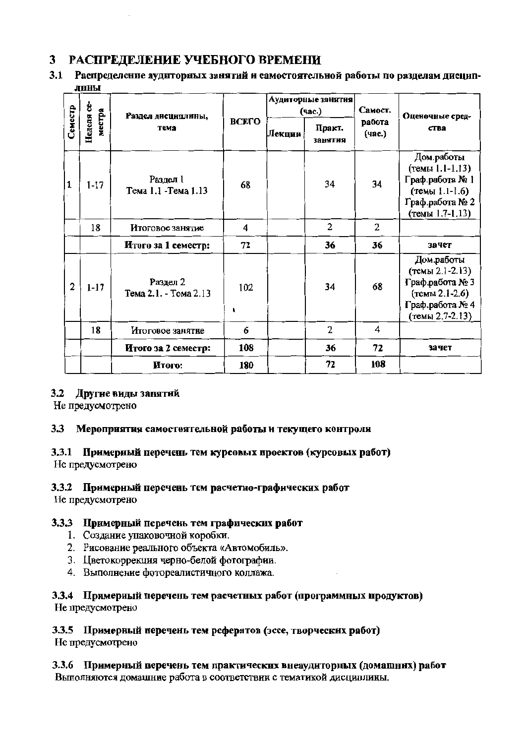# 3 РАСПРЕДЕЛЕНИЕ УЧЕБНОГО ВРЕМЕНИ

3.1 Распределение аудиторных занятий и самостоятельной работы по разделам дисциплины

|              |                      | Раздел дисциплины,<br>тема        |          |        | Аудиторные занятия<br>(час.) | Самост.          | Оценочные сред-                                                                                              |
|--------------|----------------------|-----------------------------------|----------|--------|------------------------------|------------------|--------------------------------------------------------------------------------------------------------------|
| Семестр      | Неделя се-<br>местра |                                   | ВСЕГО    | Лекции | Практ.<br>занятия            | работа<br>(час.) | ства                                                                                                         |
| $\mathbf{1}$ | $1 - 17$             | Раздел 1<br>Тема 1.1 - Тема 1.13  | 68       |        | 34                           | 34               | Дом.работы<br>(темы 1.1-1.13)<br>Граф.работа № 1<br>(темы 1.1-1.6)<br>Граф.работа № 2<br>(темы 1.7-1.13)     |
|              | 18                   | Итоговое занятие                  | 4        |        | $\overline{c}$               | 2                |                                                                                                              |
|              |                      | Итого за 1 семестр:               | 72       |        | 36                           | 36               | зачет                                                                                                        |
| $\mathbf{2}$ | $1 - 17$             | Раздел 2<br>Тема 2.1. - Тема 2.13 | 102<br>١ |        | 34                           | 68               | Дом.работы<br>(темы 2.1-2.13)<br>Граф.работа № 3<br>$($ Tembi 2.1-2.6)<br>Граф.работа № 4<br>(темы 2.7-2.13) |
|              | 18                   | Итоговое занятие                  | 6        |        | 2                            | 4                |                                                                                                              |
|              |                      | Итого за 2 семестр:               | 108      |        | 36                           | 72               | зачет                                                                                                        |
|              |                      | Итого:                            | 180      |        | 72                           | 108              |                                                                                                              |

#### 3.2 Другие виды занятий

Не предусмотрено

#### $3.3$ Мероприятия самостоятельной работы и текущего контроля

#### 3.3.1 Примерный перечень тем курсовых проектов (курсовых работ) Не предусмотрено

### 3.3.2 Примериый перечень тем расчетно-графических работ

Не предусмотрено

### 3.3.3 Примерный перечень тем графических работ

- 1. Создание упаковочной коробки.
- 2. Рисование реального объекта «Автомобиль».
- 3. Цветокоррекция черно-белой фотографии.
- 4. Выполнение фотореалистичного коллажа.

#### 3.3.4 Примерный перечень тем расчетных работ (программных продуктов) Не предусмотрено

### 3.3.5 Примерный перечень тем рефератов (эссе, творческих работ)

Не предусмотрено

3.3.6 Примерный перечень тем практических внеаудиторных (домашних) работ Выполняются домашние работа в соответствии с тематикой дисциплины.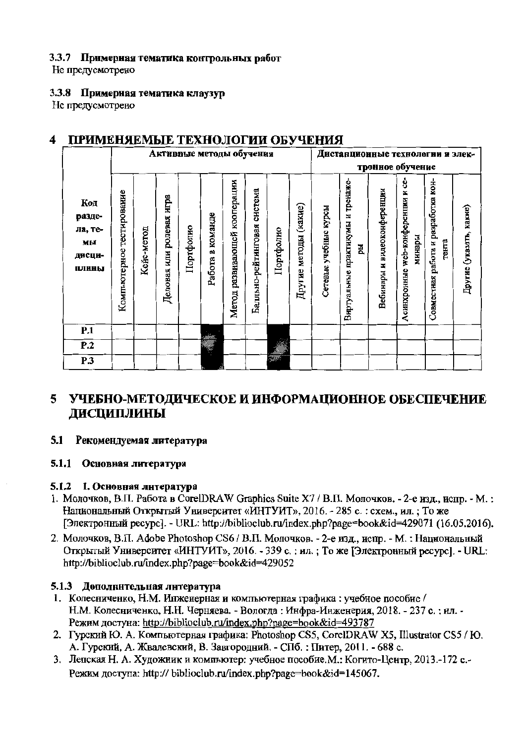#### 3.3.7 Примерная тематика контрольных работ

Не предусмотрено

#### 3.3.8 Примерная тематика клаузур

Не предусмотрено

#### ПРИМЕНЯЕМЫЕ ТЕХНОЛОГИИ ОБУЧЕНИЯ 4

|                                                   |                           | Активные методы обучения |                          |           |                     |                              |                             |           |                       | Дистанционные технологии и элек- |                                           |                                |                                                 |                                              |                         |
|---------------------------------------------------|---------------------------|--------------------------|--------------------------|-----------|---------------------|------------------------------|-----------------------------|-----------|-----------------------|----------------------------------|-------------------------------------------|--------------------------------|-------------------------------------------------|----------------------------------------------|-------------------------|
|                                                   |                           |                          |                          |           |                     |                              |                             |           |                       |                                  |                                           |                                | тронное обучение                                |                                              |                         |
| Код<br>разде-<br>ла, те-<br>мы<br>дисци-<br>ПЛИНЫ | Компьютерное тестирование | Кейс-метод               | Деловая или ролевая игра | Портфолио | команде<br>Работа в | Метод развивающей кооперации | Балльно-рейтинговая система | Портфолно | Другие методы (какне) | Сетевые учебные курсы            | практикумы и тренаже-<br>핎<br>Виртуальные | н видеоконференции<br>Вебинары | 8<br>web-конференции и<br>минары<br>Асинхронные | Совместная работа и разработка кон-<br>тента | Другие (указать, какие) |
| P.1                                               |                           |                          |                          |           |                     |                              |                             |           |                       |                                  |                                           |                                |                                                 |                                              |                         |
| P.2                                               |                           |                          |                          |           | <b>RANGER DES</b>   |                              |                             |           |                       |                                  |                                           |                                |                                                 |                                              |                         |
| $\overline{P.3}$                                  |                           |                          |                          |           |                     |                              |                             | أادراج    |                       |                                  |                                           |                                |                                                 |                                              |                         |

# 5 УЧЕБНО-МЕТОДИЧЕСКОЕ И ИНФОРМАЦИОННОЕ ОБЕСПЕЧЕНИЕ **ДИСЦИПЛИНЫ**

#### 5.1 Рекомендуемая литература

#### 5.1.1 Основная литература

#### 5.1.2 1. Основная литература

- 1. Молочков, В.П. Работа в CorelDRAW Graphics Suite X7 / В.П. Молочков. 2-е изд., испр. М.: Национальный Открытый Университет «ИНТУИТ», 2016. - 285 с.: схем., ил.; То же [Электронный ресурс]. - URL: http://biblioclub.ru/index.php?page=book&id=429071 (16.05.2016).
- 2. Молочков, В.П. Adobe Photoshop CS6 / В.П. Молочков. 2-е изд., испр. М. : Национальный Открытый Университет «ИНТУИТ», 2016. - 339 с.: ил.: То же ГЭлектронный ресурс]. - URL: http://biblioclub.ru/index.php?page=book&id=429052

#### 5.1.3 Дополнительная литература

- 1. Колесниченко, Н.М. Инженерная и компьютерная графика: учебное пособие / Н.М. Колесниченко, Н.Н. Черняева. - Вологда: Инфра-Инженерия, 2018. - 237 с.: ил. -Режим достуна: http://biblioclub.ru/index.php?page=book&id=493787
- 2. Гурский Ю. А. Компьютерная графика: Photoshop CS5, CorelDRAW X5, Illustrator CS5 / Ю. А. Гурский, А. Жвалевский, В. Завгородний. - СПб. : Питер, 2011. - 688 с.
- 3. Лепская Н. А. Художник и компьютер: учебное пособие. М.: Когито-Центр, 2013.-172 с.-Режим доступа: http:// biblioclub.ru/index.php?page=book&id=145067.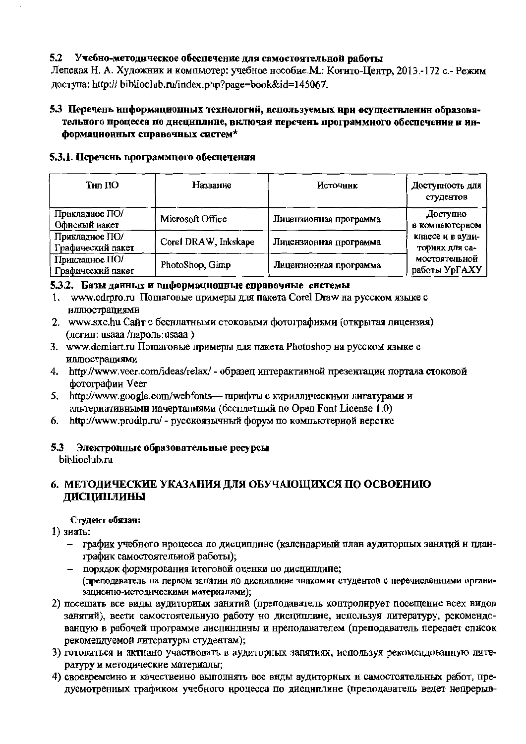#### 5.2 Учебно-методическое обеспечение для самостоятельной работы

Лепская Н. А. Художник и компьютер: учебное нособие. М.: Когито-Центр, 2013.-172 с.- Режим nocryna: http:// biblioclub.ru/index.php?page=book&id=145067.

### 5.3 Перечень информационных технологий, используемых нри осуществленин образовательного процесса по днециплине, включая перечень программного обеспечения и информационных справочных систем\*

#### 5.3.1. Перечень нрограммного обеснечения

| Тил ПО                              | Название             | Источник               | Доступность для<br>студентов       |
|-------------------------------------|----------------------|------------------------|------------------------------------|
| Прикладное ПО/<br>Офисный пакет     | Microsoft Office     | Лицензионная программа | Доступно<br>в компьютерном         |
| Прикладное ПО/<br>Графический пакет | Corel DRAW, Inkskape | Лицензионная программа | классе и в ауди-<br>ториях для са- |
| Прикладное ПО/<br>Графический пакет | PhotoShop, Gimp      | Лицензионная программа | мостоятельной<br>работы УрГАХУ     |

#### 5.3.2. Базы данных и ниформационные справочные системы

- 1. www.cdrpro.ru Пошаговые примеры для пакета Corel Draw на русском языке с иллюстрациями
- 2. www.sxc.hu Сайт с беснлатными стоковыми фотографиями (открытая лицензия) (логин: usaaa /пароль:usaaa)
- 3. www.demiart.ru Пошаговые примеры для пакета Photoshop на русском языке с иллюстрациями
- 4. http://www.veer.com/ideas/relax/ образец интерактивной презентации портала стоковой фотографии Veer
- 5. http://www.google.com/webfonts- шрифты с кириллическими лигатурами и альтериативными иачертаниями (бесплатный по Open Font License 1.0)
- http://www.prodtp.ru/ русскоязычный форум по компьютериой верстке 6.

### 5.3 Электронные образовательные ресурсы

biblioclub.ru

### 6. МЕТОДИЧЕСКИЕ УКАЗАНИЯ ДЛЯ ОБУЧАЮЩИХСЯ ПО ОСВОЕНИЮ **ДИСЦИПЛИНЫ**

#### Студент обязан:

1) зиать:

- график учебного нроцесса по дисциплине (календариый план аудиторпых занятий и планграфик самостоятельной работы);
- порядок формирования итоговой оценки по дисциплине; (преподаватель на первом занятии по дисциплине знакомит студентов с перечисленными организационно-методическими материалами);
- 2) посещать все виды аудиториых занятий (преподаватель контролирует посещение всех видов занятий), вести самостоятельную работу но дисциплине, используя литературу, рекомендованцую в рабочей программе дисцинлины и нреподавателем (преподаватель передает список рекомендуемой литературы студентам);
- 3) готовиться и активно участвовать в аудиторных занятиях, используя рекомендованную литературу и методические материалы;
- 4) своевременно и качественно выполнять все виды аудиторных и самостоятельных работ, предусмотренных графиком учебного нроцесса по дисциплине (преподаватель ведет непрерыв-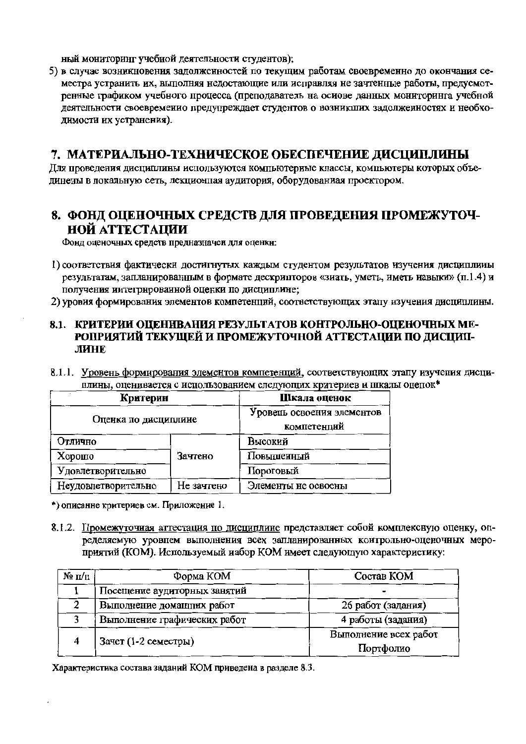ный мониторинг учебной деятельности студентов);

5) в случае возникновения задолженностей по текущим работам своевременно до окончания семестра устранить их, выполняя недостающие или исправляя не зачтенные работы, предусмотренные графиком учебного процесса (преподаватель на осиове данных мониторинга учебной деятельности своевременио предупреждает студентов о возникших задолжеиностях и необходимости их устранения).

# 7. МАТЕРИАЛЬНО-ТЕХНИЧЕСКОЕ ОБЕСПЕЧЕНИЕ ДИСЦИПЛИНЫ

Лля проведения дисциплины используются компьютерные классы, компьютеры которых объединены в локальную сеть, лекционцая аудитория, оборудованиая проектором.

# 8. ФОНД ОЦЕНОЧНЫХ СРЕДСТВ ДЛЯ ПРОВЕДЕНИЯ ПРОМЕЖУТОЧ-НОЙ АТТЕСТАЦИИ

Фонд оценочных средств предназначен для оценкн:

- 1) соответствия фактически достигнутых каждым студентом результатов изучения дисциплины результатам, запланированным в формате дескрипторов «зиать, уметь, иметь иавыки» (п.1.4) и получения интегрированной оценки по дисциплине;
- 2) уровия формирования элементов компетенций, соответствующих этапу изучения дисциплины.

### 8.1. КРИТЕРИИ ОЦЕНИВАНИЯ РЕЗУЛЬТАТОВ КОНТРОЛЬНО-ОЦЕНОЧНЫХ МЕ-РОПРИЯТИЙ ТЕКУЩЕЙ И ПРОМЕЖУТОЧНОЙ АТТЕСТАЦИИ ПО ДИСЦИП-ЛИНЕ

8.1.1. Уровень формирования элементов компетенций, соответствующих этапу изучения дисциплины, оценивается с использованием следующих критериев и шкалы оцепок\*

| Критерии             | Шкала оценок                              |            |
|----------------------|-------------------------------------------|------------|
| Оценка по дисциплине | Уровень освоения элементов<br>компетенций |            |
| Отлично              |                                           | Высокий    |
| Хорошо               | Зачтено                                   | Повышенный |
| Удовлетворительно    |                                           | Пороговый  |
| Неудовлетворительно  | Элементы не освоены                       |            |

\*) описанне критериев см. Приложение 1.

8.1.2. Промежуточная аттестация по дисциплине представляет собой комплексную оценку, определяемую уровнем выполнения всех запланированных коитрольно-оценочных мероприятий (КОМ). Используемый иабор КОМ имеет следующую характеристику:

| $\mathbf{N}_2$ π/π | Форма КОМ                    | Состав КОМ            |  |  |  |
|--------------------|------------------------------|-----------------------|--|--|--|
|                    | Посещение аудиторных занятий |                       |  |  |  |
|                    | Выполнение доманних работ    | 26 работ (задания)    |  |  |  |
|                    | Выполнение графических работ | 4 работы (задания)    |  |  |  |
| 4                  | Зачет (1-2 семестры)         | Выполнение всех работ |  |  |  |
|                    |                              | Портфолио             |  |  |  |

Характеристика состава заданий КОМ приведена в разделе 8.3.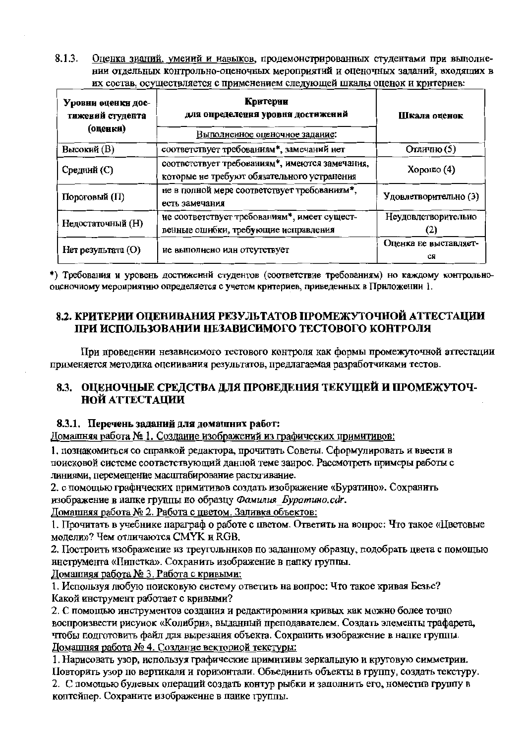$8.1.3.$ Оценка знаний, умений и навыков, продемонстрированных студентами при выполнении отдельных контрольно-оценочных мероприятий и оценочных заданий, входящих в их состав, осуществляется с применением следующей шкалы оценок и критериев:

| Уровни оценки дос-<br>тижений студента<br>(оценки) | Критерии<br>для определения уровня достижений<br>Выполненное оценочное задание:               | Шкала оценок                |  |
|----------------------------------------------------|-----------------------------------------------------------------------------------------------|-----------------------------|--|
| Высокий (В)                                        | соответствует требованиям*, замечаний нет                                                     | Отлично (5)                 |  |
| Средний (С)                                        | соответствует требованиям*, имеются замечания,<br>которые не требуют обязательного устранения | $X$ орошо $(4)$             |  |
| Пороговый (П)                                      | не в полной мере соответствует требованиям*,<br>есть замечания                                | Удовлетворительно (3)       |  |
| Недостаточный (Н)                                  | не соответствует требованиям*, имеет сущест-<br>венные ошибки, требующие исправления          | Неудовлетворительно<br>2)   |  |
| Нет результата (O)                                 | не выполнено илн отсутствует                                                                  | Оценка не выставляет-<br>CЯ |  |

\*) Требования и уровень достиженнй студентов (соответствие требованиям) но каждому контрольнооценочному мероприятию определяется с учетом критериев, приведенных в Приложении 1.

### 8.2. КРИТЕРИИ ОПЕНИВАНИЯ РЕЗУЛЬТАТОВ ПРОМЕЖУТОЧНОЙ АТТЕСТАЦИИ ПРИ ИСПОЛЬЗОВАНИИ НЕЗАВИСИМОГО ТЕСТОВОГО КОНТРОЛЯ

При проведении независимого тестового контроля как формы промежуточной аттестации применяется методика оценивания результатов, предлагаемая разработчиками тестов.

### 8.3. ОПЕНОЧНЫЕ СРЕЛСТВА ЛЛЯ ПРОВЕЛЕНИЯ ТЕКУШЕЙ И ПРОМЕЖУТОЧ-**НОЙ АТТЕСТАЦИИ**

### 8.3.1. Перечень заданий для домашних работ:

Домашняя работа № 1. Создание изображений из графических примитивов:

1. познакомиться со справкой редактора, прочитать Советы. Сформулировать и ввести в поисковой системе соответствующий данной теме занрос. Рассмотреть примеры работы с линиями, перемещение масштабирование растягивание.

2. с помощью графических примитивов создать изображение «Буратино». Сохранить изображение в папке группы по образцу Фамилия Буратино.cdr.

Домашняя работа № 2. Работа с цветом. Заливка объектов:

1. Прочитать в учебнике параграф о работе с цветом. Ответить на вопрос: Что такое «Цветовые модели»? Чем отличаются СМУК и RGB.

2. Построить изображение из треугольников по заданному образцу, подобрать цвета с помощью инструмента «Пипетка». Сохранить изображение в папку группы.

Домашняя работа № 3. Работа с кривыми:

1. Используя любую поисковую систему ответить на вопрос: Что такое кривая Безье? Какой инструмент работает с кривыми?

2. С помощью инструментов создания и редактирования кривых как можно более точно воспроизвести рисунок «Колибри», выданный преподавателем. Создать элементы трафарета, чтобы подготовить файл для вырезания объекта. Сохранить изображение в напке группы. Домашняя работа № 4. Создание векториой текстуры:

1. Нарисовать узор, используя графические примитивы зеркальную и круговую симметрии. Повторить узор по вертикали и горизонтали. Объединить объекты в группу, создать текстуру. 2. С помощью булевых операций создать контур рыбки и заполнить его, номестив группу в

коптейпер. Сохраните изображенне в панке группы.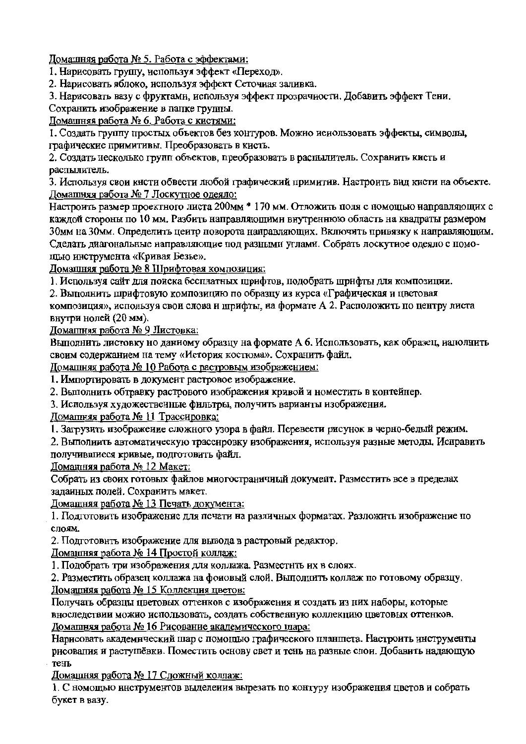Домашняя работа № 5. Работа с эффектами:

1. Нарисовать грушу, используя эффект «Переход».

2. Нарисовать яблоко, используя эффект Сеточная заливка.

3. Нарисовать вазу с фруктами, используя эффект прозрачности. Добавить эффект Тени.

Сохранить изображение в папке группы.

Ломашняя работа № 6. Работа с кистями:

1. Создать группу простых объектов без контуров. Можно иснользовать эффекты, символы, графические примитивы. Преобразовать в кисть.

2. Создать несколько групп объектов, преобразовать в распылитель. Сохранить кисть и распылитель.

3. Используя свои кисти обвести любой графический примитив. Настроить вид кисти на объекте. Домашняя работа № 7 Лоскутное одеяло:

Настроить размер проектного листа 200мм \* 170 мм. Отложить поля с помощью направляющих с каждой стороны по 10 мм. Разбить направляющими внутреннюю область на квадраты размером 30мм на 30мм. Определить центр поворота направляющих. Включить привязку к направляющим. Сделать диагональные направляющие под разными углами. Собрать лоскутное одеяло с помощью инструмента «Кривая Безье».

Домашняя работа № 8 Шрифтовая композиция:

1. Используя сайт для поиска бесплатных шрифтов, подобрать шрифты для композиции.

2. Выполнить шрифтовую композицию по образцу из курса «Графическая и цветовая

композиция», используя свои слова и шрифты, на формате A 2. Расположить по центру листа внутри нолей (20 мм).

Домашняя работа № 9 Листовка:

Выполнить листовку но данному образцу на формате А 6. Использовать, как образец, наполнить своим содержанием на тему «История костюма». Сохранить файл.

Домашняя работа № 10 Работа с растровым изображением:

1. Импортировать в документ растровое изображение.

2. Выполнить обтравку растрового изображения кривой и номестить в контейнер.

3. Используя художественные фильтры, получить варианты изображения.

Домашняя работа № 11 Трассировка:

1. Загрузить изображение сложного узора в файл. Перевести рисунок в черно-белый режим.

2. Выполнить автоматическую трассировку изображения, используя разные методы. Исправить получившиеся кривые, подготовить файл.

Доманняя работа № 12 Макет:

Собрать из своих готовых файлов многостраничный документ. Разместить все в пределах заданных полей. Сохранить макет.

Домашняя работа № 13 Печать документа:

1. Подготовить изображение для печати на различных форматах. Разложить изображение по слоям.

2. Подготовить изображение для вывода в растровый редактор.

Домашняя работа № 14 Простой коллаж:

1. Подобрать три изображения для коллажа. Разместить их в слоях.

2. Разместить образец коллажа на фоновый слой. Выполнить коллаж по готовому образцу. Домашняя работа № 15 Коллекция цветов:

Получать образцы цветовых оттенков с изображения и создать из них наборы, которые вноследствии можно использовать, создать собственную коллекцию цветовых оттенков. Домашняя работа № 16 Рисование академического шара:

Нарисовать академический шар с помощью графического планшета. Настроить инструменты рисования и растушёвки. Поместить основу свет и тень на разные слои. Добавить надающую тень

Домашняя работа № 17 Сложный коллаж:

1. С номощью инструментов выделения вырезать по контуру изображения цветов и собрать букет в вазу.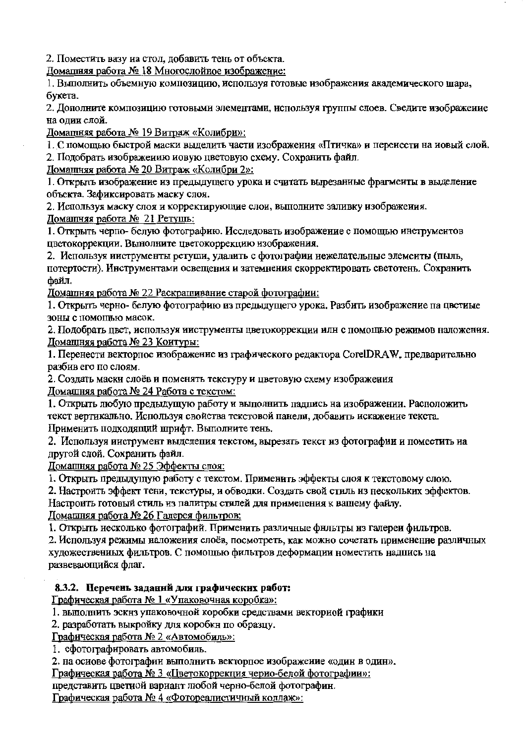2. Поместить вазу иа стол, добавить тень от объекта.

Домашняя работа № 18 Многослойное изображение:

1. Выполнить объемную композицию, используя готовые изображения академического шара, букета.

2. Дополните композицию готовыми элементами, используя группы слоев. Сведите изображение на олии слой.

Ломашняя работа № 19 Витраж «Колибри»:

1. С помошью быстрой маски выделить части изображения «Птичка» и перенести на иовый слой.

2. Подобрать изображению новую цветовую схему. Сохранить файл.

Домащняя работа № 20 Витраж «Колибри 2»:

1. Открыть изображение из предыдущего урока и считать вырезаниые фрагмеиты в выделение объекта. Зафиксировать маску слоя.

2. Используя маску слоя и корректирующие слои, выполните заливку изображения.

Домашняя работа № 21 Ретушь:

1. Открыть черпо- белую фотографию. Исследовать изображение с помощью инструментов пветокоррекции. Вынолните цветокоррекцию изображения.

2. Используя инструменты ретуши, удалить с фотографии иежелательные элементы (пыль, потертости). Инструментами освещения и затемнения скорректировать светотень. Сохранить файл.

Домашняя работа № 22 Раскрашивание старой фотографии:

1. Открыть черно- белую фотографию из предыдущего урока. Разбить изображение па цветиые зоны с помощью масок.

2. Подобрать цвет, используя ииструменты цветокоррекции илн с помощью режимов наложения. Домащняя работа № 23 Коитуры:

1. Перенести векторное изображение из графического редактора CorelDRAW, предварительно разбив его по слоям.

2. Создать маски слоёв и поменять текстуру и цветовую схему изображения Домашняя работа № 24 Работа с текстом:

1. Открыть любую предыдущую работу и выполнить падпись на изображении. Расположить текст вертикально. Используя свойства текстовой панели, добавить искажение текста. Применить подходящий шрифт. Выполните тень.

2. Используя ииструмент выделения текстом, вырезать текст из фотографии и поместить на другой слой. Сохранить файл.

Домашняя работа № 25 Эффекты слоя:

1. Открыть предыдущую работу с текстом. Применить эффекты слоя к текстовому слою.

2. Настроить эффект тени, текстуры, и обводки. Создать свой стиль из нескольких эффектов.

Настроить готовый стиль из палитры стилей для применения к вашему файлу.

Домашняя работа № 26 Галерея фильтров:

1. Открыть иесколько фотографий. Применить различные фильтры из галереи фильтров.

2. Используя режимы наложения слоёв, посмотреть, как можно сочетать применение различных художествениых фильтров. С помощью фильтров деформации номестить надпись на развевающийся флаг.

### 8.3.2. Перечень заданий для графических работ:

Графическая работа № 1 «Упаковочная коробка»:

1. выполнить эскнз упаковочной коробки средствами векториой графики

2. разработать выкройку для коробки по образцу.

Графическая работа № 2 «Автомобиль»:

1. сфотографировать автомобиль.

2. на осиове фотографии выполнить векторное изображение «один в один».

Графическая работа № 3 «Цветокоррекция черно-белой фотографии»:

представить цветиой вариант любой черно-белой фотографин.

Графическая работа № 4 «Фотореалистичный коллаж»: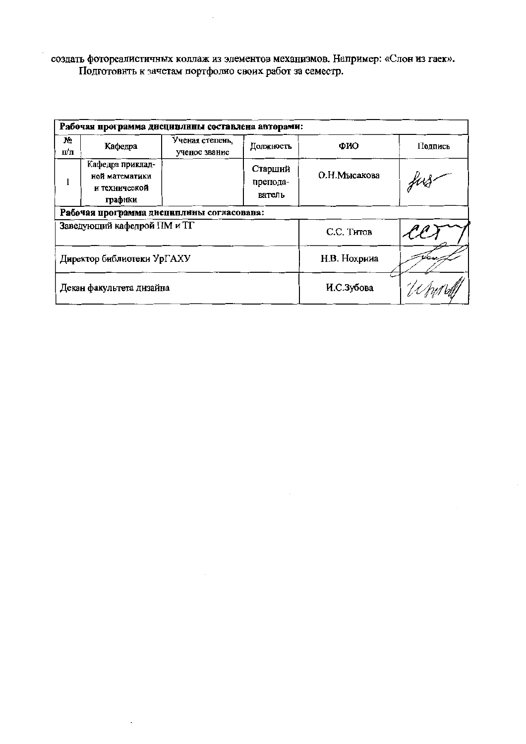создать фотореалистичных коллаж из элементов механизмов. Например: «Слон из гаек».<br>Подготовнть к зачетам портфолио своих работ за семестр.

 $\sim$ 

|           | Рабочая программа дисциплины составлена авторами:              |                                  |                               |               |         |  |  |  |  |
|-----------|----------------------------------------------------------------|----------------------------------|-------------------------------|---------------|---------|--|--|--|--|
| No<br>п⁄п | Кафедра                                                        | Ученая степень.<br>ученое звание | Должность                     | ФИО           | Подпись |  |  |  |  |
|           | Кафедра приклад-<br>ной математики<br>и технической<br>графики |                                  | Старший<br>препода-<br>ватель | О.Н. Мысакова |         |  |  |  |  |
|           | Рабочая программа дисциплины согласована:                      |                                  |                               |               |         |  |  |  |  |
|           | Заведующий кафедрой ПМ и ТГ                                    |                                  |                               | С.С. Титов    |         |  |  |  |  |
|           | Директор библиотеки УрГАХУ                                     |                                  | Н.В. Нохрииа                  |               |         |  |  |  |  |
|           | Декан факультета дизайна                                       |                                  | И.С.Зубова                    |               |         |  |  |  |  |

 $\sim$ 

 $\bar{z}$